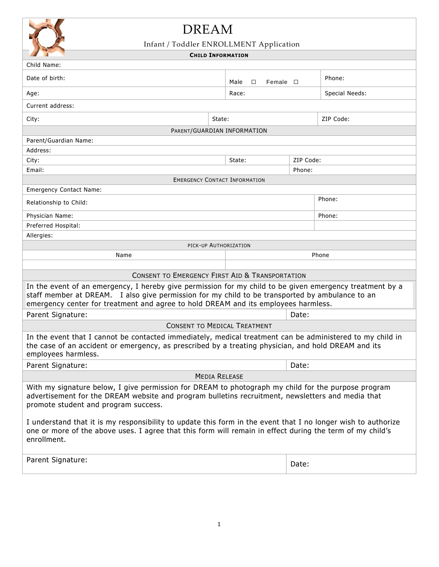

## DREAM

## Infant / Toddler ENROLLMENT Application

## **CHILD INFORMATION**

| and the state of the con-<br><b>CHILD INFORMATION</b>                                                                                                                                                                                                                                                                                                                                                                                                                                         |                                      |                |  |  |
|-----------------------------------------------------------------------------------------------------------------------------------------------------------------------------------------------------------------------------------------------------------------------------------------------------------------------------------------------------------------------------------------------------------------------------------------------------------------------------------------------|--------------------------------------|----------------|--|--|
| Child Name:                                                                                                                                                                                                                                                                                                                                                                                                                                                                                   |                                      |                |  |  |
| Date of birth:                                                                                                                                                                                                                                                                                                                                                                                                                                                                                | Male<br>$\Box$<br>Female $\square$   | Phone:         |  |  |
| Age:                                                                                                                                                                                                                                                                                                                                                                                                                                                                                          | Race:                                | Special Needs: |  |  |
| Current address:                                                                                                                                                                                                                                                                                                                                                                                                                                                                              |                                      |                |  |  |
| City:                                                                                                                                                                                                                                                                                                                                                                                                                                                                                         | State:                               | ZIP Code:      |  |  |
|                                                                                                                                                                                                                                                                                                                                                                                                                                                                                               | PARENT/GUARDIAN INFORMATION          |                |  |  |
| Parent/Guardian Name:                                                                                                                                                                                                                                                                                                                                                                                                                                                                         |                                      |                |  |  |
| Address:                                                                                                                                                                                                                                                                                                                                                                                                                                                                                      |                                      |                |  |  |
| City:                                                                                                                                                                                                                                                                                                                                                                                                                                                                                         | State:                               | ZIP Code:      |  |  |
| Email:                                                                                                                                                                                                                                                                                                                                                                                                                                                                                        |                                      | Phone:         |  |  |
|                                                                                                                                                                                                                                                                                                                                                                                                                                                                                               | <b>EMERGENCY CONTACT INFORMATION</b> |                |  |  |
| <b>Emergency Contact Name:</b>                                                                                                                                                                                                                                                                                                                                                                                                                                                                |                                      |                |  |  |
| Relationship to Child:                                                                                                                                                                                                                                                                                                                                                                                                                                                                        | Phone:                               |                |  |  |
| Physician Name:                                                                                                                                                                                                                                                                                                                                                                                                                                                                               |                                      | Phone:         |  |  |
| Preferred Hospital:                                                                                                                                                                                                                                                                                                                                                                                                                                                                           |                                      |                |  |  |
| Allergies:                                                                                                                                                                                                                                                                                                                                                                                                                                                                                    |                                      |                |  |  |
|                                                                                                                                                                                                                                                                                                                                                                                                                                                                                               | PICK-UP AUTHORIZATION                |                |  |  |
| Name                                                                                                                                                                                                                                                                                                                                                                                                                                                                                          |                                      | Phone          |  |  |
|                                                                                                                                                                                                                                                                                                                                                                                                                                                                                               |                                      |                |  |  |
| <b>CONSENT TO EMERGENCY FIRST AID &amp; TRANSPORTATION</b>                                                                                                                                                                                                                                                                                                                                                                                                                                    |                                      |                |  |  |
| In the event of an emergency, I hereby give permission for my child to be given emergency treatment by a<br>staff member at DREAM. I also give permission for my child to be transported by ambulance to an<br>emergency center for treatment and agree to hold DREAM and its employees harmless.                                                                                                                                                                                             |                                      |                |  |  |
| Parent Signature:                                                                                                                                                                                                                                                                                                                                                                                                                                                                             |                                      | Date:          |  |  |
| <b>CONSENT TO MEDICAL TREATMENT</b>                                                                                                                                                                                                                                                                                                                                                                                                                                                           |                                      |                |  |  |
| In the event that I cannot be contacted immediately, medical treatment can be administered to my child in<br>the case of an accident or emergency, as prescribed by a treating physician, and hold DREAM and its<br>employees harmless.                                                                                                                                                                                                                                                       |                                      |                |  |  |
| Parent Signature:                                                                                                                                                                                                                                                                                                                                                                                                                                                                             |                                      | Date:          |  |  |
| <b>MEDIA RELEASE</b>                                                                                                                                                                                                                                                                                                                                                                                                                                                                          |                                      |                |  |  |
| With my signature below, I give permission for DREAM to photograph my child for the purpose program<br>advertisement for the DREAM website and program bulletins recruitment, newsletters and media that<br>promote student and program success.<br>I understand that it is my responsibility to update this form in the event that I no longer wish to authorize<br>one or more of the above uses. I agree that this form will remain in effect during the term of my child's<br>enrollment. |                                      |                |  |  |
| Parent Signature:                                                                                                                                                                                                                                                                                                                                                                                                                                                                             |                                      | Date:          |  |  |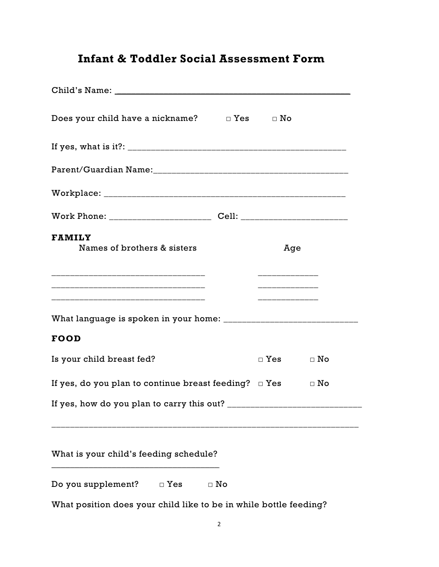## **Infant & Toddler Social Assessment Form**

| Does your child have a nickname? $\square$ Yes $\square$ No |           |                                             |           |
|-------------------------------------------------------------|-----------|---------------------------------------------|-----------|
|                                                             |           |                                             |           |
|                                                             |           |                                             |           |
|                                                             |           |                                             |           |
|                                                             |           |                                             |           |
| <b>FAMILY</b><br>Names of brothers & sisters                |           | Age<br><u> 1919 - John Amerikaans III (</u> |           |
|                                                             |           |                                             |           |
| <b>FOOD</b>                                                 |           |                                             |           |
| Is your child breast fed?                                   |           | $\Box$ Yes                                  | $\Box$ No |
| If yes, do you plan to continue breast feeding? $\Box$ Yes  |           |                                             | $\Box$ No |
| If yes, how do you plan to carry this out? __               |           |                                             |           |
|                                                             |           |                                             |           |
| What is your child's feeding schedule?                      |           |                                             |           |
| Do you supplement?<br>$\Box$ Yes                            | $\Box$ No |                                             |           |

What position does your child like to be in while bottle feeding?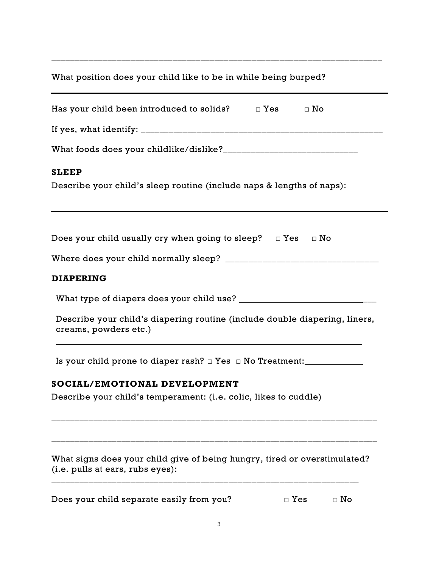What position does your child like to be in while being burped?

\_\_\_\_\_\_\_\_\_\_\_\_\_\_\_\_\_\_\_\_\_\_\_\_\_\_\_\_\_\_\_\_\_\_\_\_\_\_\_\_\_\_\_\_\_\_\_\_\_\_\_\_\_\_\_\_\_\_\_\_\_\_\_\_\_\_\_\_\_\_\_

| Has your child been introduced to solids? $\Box$ Yes $\Box$ No                                                |
|---------------------------------------------------------------------------------------------------------------|
|                                                                                                               |
|                                                                                                               |
| <b>SLEEP</b>                                                                                                  |
| Describe your child's sleep routine (include naps & lengths of naps):                                         |
|                                                                                                               |
| Does your child usually cry when going to sleep? $\Box$ Yes $\Box$ No                                         |
|                                                                                                               |
| <b>DIAPERING</b>                                                                                              |
|                                                                                                               |
| Describe your child's diapering routine (include double diapering, liners,<br>creams, powders etc.)           |
| Is your child prone to diaper rash? $\Box$ Yes $\Box$ No Treatment: _________________                         |
| SOCIAL/EMOTIONAL DEVELOPMENT                                                                                  |
| Describe your child's temperament: (i.e. colic, likes to cuddle)                                              |
| What signs does your child give of being hungry, tired or overstimulated?<br>(i.e. pulls at ears, rubs eyes): |
| Does your child separate easily from you?<br>$\Box$ No<br>$\Box$ Yes                                          |